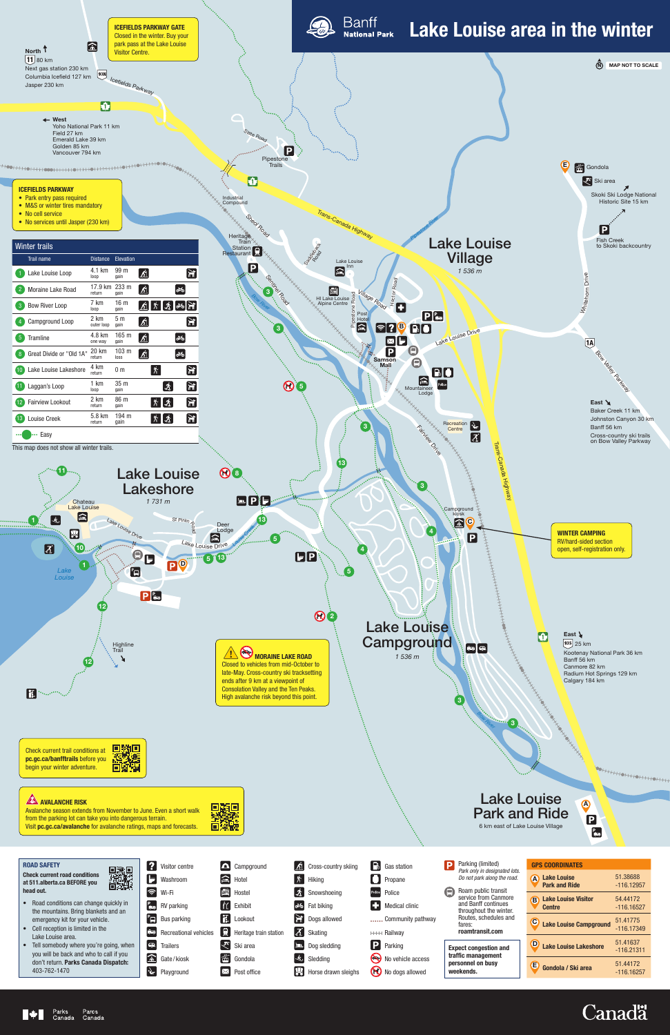# Lake Louise Park and Ride 6 km east of Lake Louise Village

A

 $\overline{\mathbf{B}}$ 

 $\frac{P}{\sqrt{2}}$ 



| <b>GPS COORDINATES</b>                           |                          |  |  |
|--------------------------------------------------|--------------------------|--|--|
| <b>Lake Louise</b><br>Ά<br><b>Park and Ride</b>  | 51.38688<br>$-116.12957$ |  |  |
| <b>Lake Louise Visitor</b><br>B<br><b>Centre</b> | 54.44172<br>$-116.16527$ |  |  |
| $\mathbf C$<br><b>Lake Louise Campground</b>     | 51.41775<br>$-116.17349$ |  |  |
| <b>Lake Louise Lakeshore</b>                     | 51.41637<br>$-116.21311$ |  |  |
| Έ<br>Gondola / Ski area                          | 51.44172<br>-116.16257   |  |  |

|     |     | Visitor centre                  |
|-----|-----|---------------------------------|
|     |     | $\blacksquare$ Washroom         |
|     |     | Wi-Fi                           |
|     |     | $\frac{P}{\sqrt{2}}$ RV parking |
|     | "OI | <b>Bus parking</b>              |
|     | 忘恐  | <b>Recreational vehicles</b>    |
| θ'n |     | <b>Trailers</b>                 |
|     |     | Gate/kiosk                      |
|     |     | Playground                      |

Campground  $\triangleq$  Hotel Hostel **i** Exhibit **日**Lookout **Heritage train station Ski** area  $\left| \frac{2}{100} \right|$  Gondola  $\boxtimes$  Post office

 $\delta$  Cross-country skiing  $\left|\mathbf{\hat{X}}\right|$  Hiking Snowshoeing d<sup>3</sup> Fat biking **Dogs allowed** Skating **LD** Dog sledding  $\left|\dot{\mathbf{\hat{S}}}\right|$  Sledding  $\frac{1}{\sqrt{2}}$  Horse drawn sleighs

| $\begin{bmatrix} \begin{bmatrix} \cdot \\ \cdot \end{bmatrix} \end{bmatrix}$ Gas station |
|------------------------------------------------------------------------------------------|
| $\blacksquare$ Propane                                                                   |
| Police Police                                                                            |
| Medical clinic                                                                           |
| Community pathway                                                                        |
| <sup>HHH</sup> Railway                                                                   |
| P Parking                                                                                |
|                                                                                          |

No vehicle access No dogs allowed

### ROAD SAFETY

Check current road conditions at 511.alberta.ca BEFORE you head out.



- Road conditions can change quickly in the mountains. Bring blankets and an emergency kit for your vehicle.
- Cell reception is limited in the Lake Louise area.
- Tell somebody where you're going, when you will be back and who to call if you don't return. Parks Canada Dispatch: 403-762-1470

| D | Parking (limited)<br>Park only in designated lots.<br>Do not park along the road. |
|---|-----------------------------------------------------------------------------------|
|   | Roam public transit                                                               |

service from Canmore and Banff continues throughout the winter. Routes, schedules and fares: **roamtransit.com**

Π

**Expect congestion and traffic management personnel on busy weekends.**

Avalanche season extends from November to June. Even a short walk from the parking lot can take you into dangerous terrain. Visit **pc.gc.ca/avalanche** for avalanche ratings, maps and forecasts.

DANE SEARCH





## **AVALANCHE RISK**